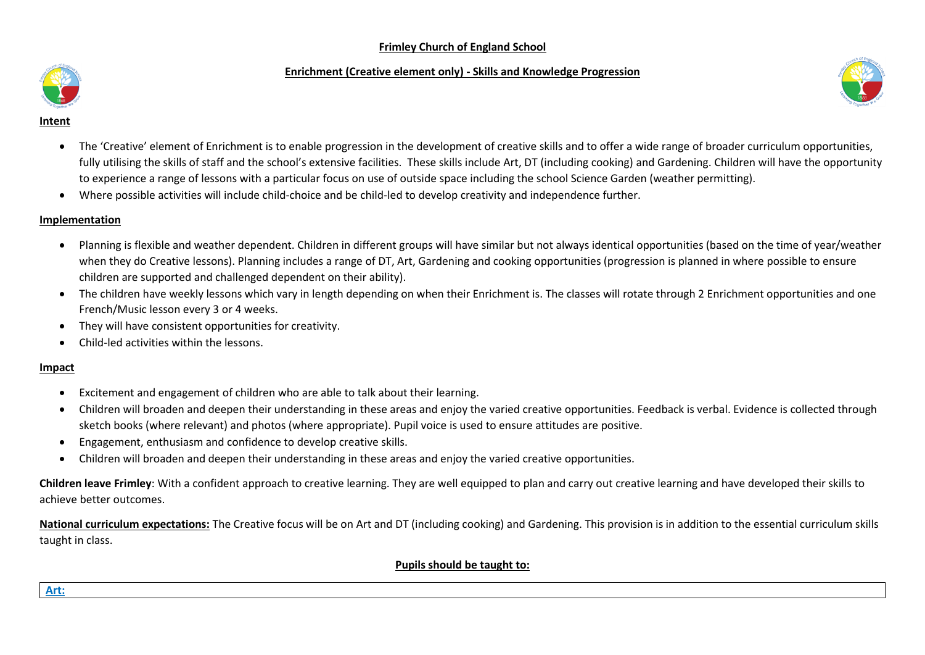# **Frimley Church of England School**



**Intent**





 The 'Creative' element of Enrichment is to enable progression in the development of creative skills and to offer a wide range of broader curriculum opportunities, fully utilising the skills of staff and the school's extensive facilities. These skills include Art, DT (including cooking) and Gardening. Children will have the opportunity to experience a range of lessons with a particular focus on use of outside space including the school Science Garden (weather permitting).

Where possible activities will include child-choice and be child-led to develop creativity and independence further.

## **Implementation**

- Planning is flexible and weather dependent. Children in different groups will have similar but not always identical opportunities (based on the time of year/weather when they do Creative lessons). Planning includes a range of DT, Art, Gardening and cooking opportunities (progression is planned in where possible to ensure children are supported and challenged dependent on their ability).
- The children have weekly lessons which vary in length depending on when their Enrichment is. The classes will rotate through 2 Enrichment opportunities and one French/Music lesson every 3 or 4 weeks.
- They will have consistent opportunities for creativity.
- Child-led activities within the lessons.

# **Impact**

- Excitement and engagement of children who are able to talk about their learning.
- Children will broaden and deepen their understanding in these areas and enjoy the varied creative opportunities. Feedback is verbal. Evidence is collected through sketch books (where relevant) and photos (where appropriate). Pupil voice is used to ensure attitudes are positive.
- Engagement, enthusiasm and confidence to develop creative skills.
- Children will broaden and deepen their understanding in these areas and enjoy the varied creative opportunities.

**Children leave Frimley**: With a confident approach to creative learning. They are well equipped to plan and carry out creative learning and have developed their skills to achieve better outcomes.

**National curriculum expectations:** The Creative focus will be on Art and DT (including cooking) and Gardening. This provision is in addition to the essential curriculum skills taught in class.

# **Pupils should be taught to:**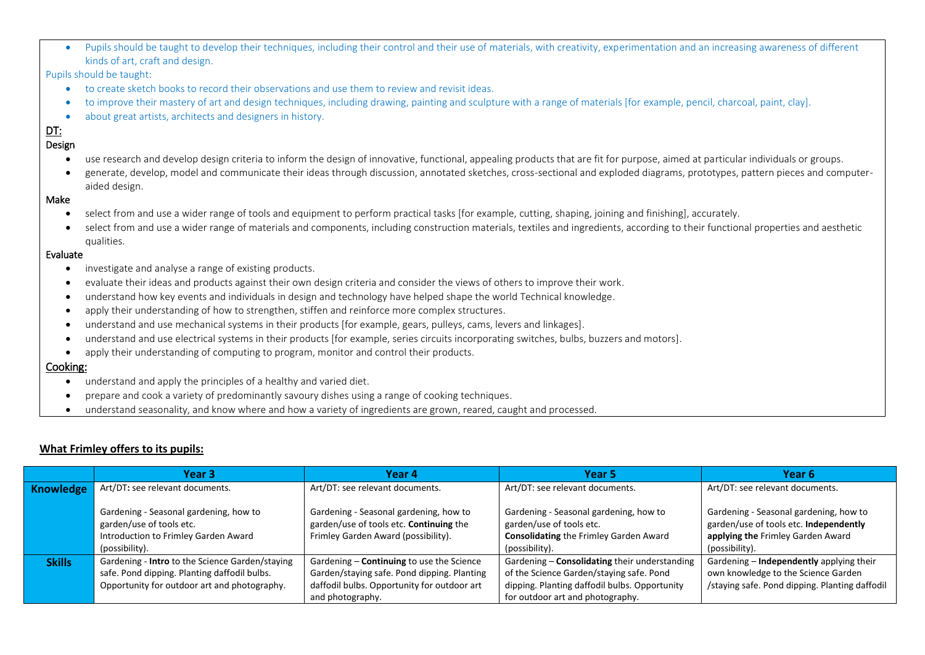Pupils should be taught to develop their techniques, including their control and their use of materials, with creativity, experimentation and an increasing awareness of different kinds of art, craft and design.

Pupils should be taught:

- to create sketch books to record their observations and use them to review and revisit ideas.
- to improve their mastery of art and design techniques, including drawing, painting and sculpture with a range of materials [for example, pencil, charcoal, paint, clay].
- about great artists, architects and designers in history.

#### DT: Design

- use research and develop design criteria to inform the design of innovative, functional, appealing products that are fit for purpose, aimed at particular individuals or groups.
- generate, develop, model and communicate their ideas through discussion, annotated sketches, cross-sectional and exploded diagrams, prototypes, pattern pieces and computeraided design.

## Make

- select from and use a wider range of tools and equipment to perform practical tasks [for example, cutting, shaping, joining and finishing], accurately.
- select from and use a wider range of materials and components, including construction materials, textiles and ingredients, according to their functional properties and aesthetic qualities.

## Evaluate

- investigate and analyse a range of existing products.
- evaluate their ideas and products against their own design criteria and consider the views of others to improve their work.
- understand how key events and individuals in design and technology have helped shape the world Technical knowledge.
- apply their understanding of how to strengthen, stiffen and reinforce more complex structures.
- understand and use mechanical systems in their products [for example, gears, pulleys, cams, levers and linkages].
- understand and use electrical systems in their products [for example, series circuits incorporating switches, bulbs, buzzers and motors].
- apply their understanding of computing to program, monitor and control their products.

## Cooking:

- understand and apply the principles of a healthy and varied diet.
- prepare and cook a variety of predominantly savoury dishes using a range of cooking techniques.
- understand seasonality, and know where and how a variety of ingredients are grown, reared, caught and processed.

# **What Frimley offers to its pupils:**

|               | Year 3                                                                                                                       | Year 4                                                                                                                   | Year 5                                                                                                                                | Year 6                                                                                                                                  |
|---------------|------------------------------------------------------------------------------------------------------------------------------|--------------------------------------------------------------------------------------------------------------------------|---------------------------------------------------------------------------------------------------------------------------------------|-----------------------------------------------------------------------------------------------------------------------------------------|
| Knowledge     | Art/DT: see relevant documents.                                                                                              | Art/DT: see relevant documents.                                                                                          | Art/DT: see relevant documents.                                                                                                       | Art/DT: see relevant documents.                                                                                                         |
|               | Gardening - Seasonal gardening, how to<br>garden/use of tools etc.<br>Introduction to Frimley Garden Award<br>(possibility). | Gardening - Seasonal gardening, how to<br>garden/use of tools etc. Continuing the<br>Frimley Garden Award (possibility). | Gardening - Seasonal gardening, how to<br>garden/use of tools etc.<br><b>Consolidating the Frimley Garden Award</b><br>(possibility). | Gardening - Seasonal gardening, how to<br>garden/use of tools etc. Independently<br>applying the Frimley Garden Award<br>(possibility). |
| <b>Skills</b> | Gardening - Intro to the Science Garden/staying<br>safe. Pond dipping. Planting daffodil bulbs.                              | Gardening - Continuing to use the Science<br>Garden/staying safe. Pond dipping. Planting                                 | Gardening - Consolidating their understanding<br>of the Science Garden/staying safe. Pond                                             | Gardening - Independently applying their<br>own knowledge to the Science Garden                                                         |
|               | Opportunity for outdoor art and photography.                                                                                 | daffodil bulbs. Opportunity for outdoor art<br>and photography.                                                          | dipping. Planting daffodil bulbs. Opportunity<br>for outdoor art and photography.                                                     | /staying safe. Pond dipping. Planting daffodil                                                                                          |